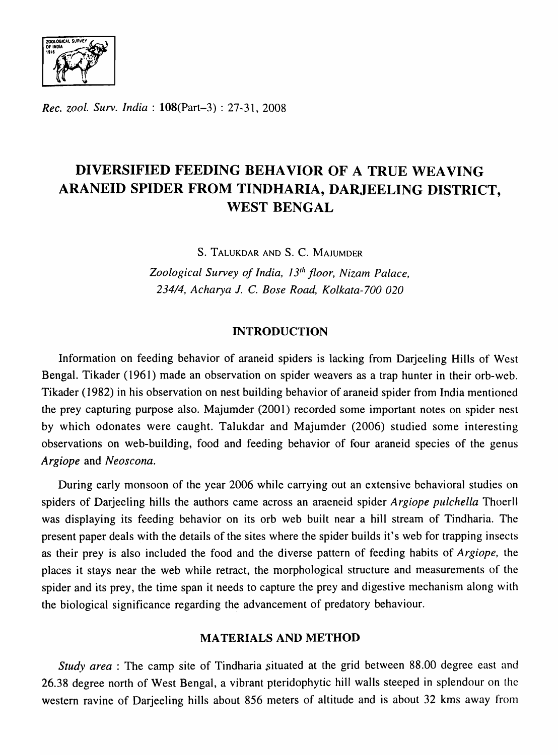ZOOLOGICAL SU

*Rec. zool. Surv. India:* l08(Part-3) : 27-31, 2008

# DIVERSIFIED FEEDING BEHAVIOR OF A TRUE WEAVING ARANEID SPIDER FROM TINDHARIA, DARJEELING DISTRICT, WEST BENGAL

S. TALUKDAR AND S. C. MAJUMDER

Zoological Survey of India, 13<sup>th</sup> floor, Nizam Palace, *23414, Acharya* 1. C. *Bose Road, Kolkata-700 020* 

# INTRODUCTION

Information on feeding behavior of araneid spiders is lacking from Darjeeling Hills of West Bengal. Tikader (1961) made an observation on spider weavers as a trap hunter in their orb-web. Tikader (1982) in his observation on nest building behavior of araneid spider from India mentioned the prey capturing purpose also. Majumder (2001) recorded some important notes on spider nest by which odonates were caught. Talukdar and Majumder (2006) studied some interesting observations on web-building, food and feeding behavior of four araneid species of the genus *Argiope* and *Neoscona.* 

During early monsoon of the year 2006 while carrying out an extensive behavioral studies on spiders of Darjeeling hills the authors came across an araeneid spider *Argiope pulchella* Thoerll was displaying its feeding behavior on its orb web built near a hill stream of Tindharia. The present paper deals with the details of the sites where the spider builds it's web for trapping insects as their prey is also included the food and the diverse pattern of feeding habits of *Argiope,* the places it stays near the web while retract, the morphological structure and measurements of the spider and its prey, the time span it needs to capture the prey and digestive mechanism along with the biological significance regarding the advancement of predatory behaviour.

### MATERIALS AND METHOD

*Study area* : The camp site of Tindharia situated at the grid between 88.00 degree east and 26.38 degree north of West Bengal, a vibrant pteridophytic hill walls steeped in splendour on the western ravine of Darjeeling hills about 856 meters of altitude and is about 32 kms away from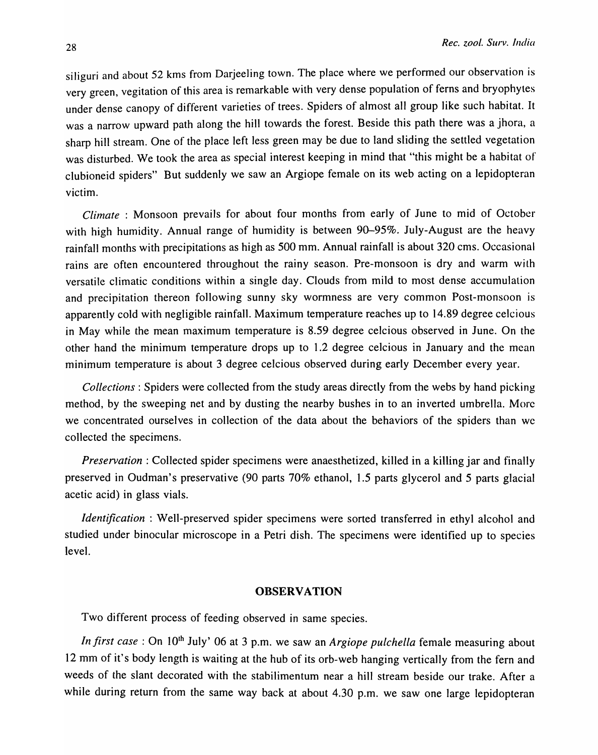siliguri and about 52 kms from Darjeeling town. The place where we performed our observation is very green, vegitation of this area is remarkable with very dense population of ferns and bryophytes under dense canopy of different varieties of trees. Spiders of almost all group like such habitat. It was a narrow upward path along the hill towards the forest. Beside this path there was a jhora, a sharp hill stream. One of the place left less green may be due to land sliding the settled vegetation was disturbed. We took the area as special interest keeping in mind that "this might be a habitat of clubioneid spiders" But suddenly we saw an Argiope female on its web acting on a lepidopteran victim.

*Climate* : Monsoon prevails for about four months from early of June to mid of October with high humidity. Annual range of humidity is between 90–95%. July-August are the heavy rainfall months with precipitations as high as 500 mm. Annual rainfall is about 320 ems. Occasional rains are often encountered throughout the rainy season. Pre-monsoon is dry and warm with versatile climatic conditions within a single day. Clouds from mild to most dense accumulation and precipitation thereon following sunny sky wormness are very common Post-monsoon is apparently cold with negligible rainfall. Maximum temperature reaches up to 14.89 degree celcious in May while the mean maximum temperature is 8.59 degree celcious observed in June. On the other hand the minimum temperature drops up to 1.2 degree celcious in January and the mean minimum temperature is about 3 degree celcious observed during early December every year.

*Collections:* Spiders were collected from the study areas directly from the webs by hand picking method, by the sweeping net and by dusting the nearby bushes in to an inverted umbrella. More we concentrated ourselves in collection of the data about the behaviors of the spiders than we collected the specimens.

*Preservation:* Collected spider specimens were anaesthetized, killed in a killing jar and finally preserved in Oudman's preservative (90 parts 70% ethanol, 1.5 parts glycerol and 5 parts glacial acetic acid) in glass vials.

*Identification*: Well-preserved spider specimens were sorted transferred in ethyl alcohol and studied under binocular microscope in a Petri dish. The specimens were identified up to species level.

#### **OBSERVATION**

Two different process of feeding observed in same species.

*In first case*: On 10<sup>th</sup> July' 06 at 3 p.m. we saw an *Argiope pulchella* female measuring about 12 mm of it's body length is waiting at the hub of its orb-web hanging vertically from the fern and weeds of the slant decorated with the stabilimentum near a hill stream beside our trake. After a while during return from the same way back at about 4.30 p.m. we saw one large lepidopteran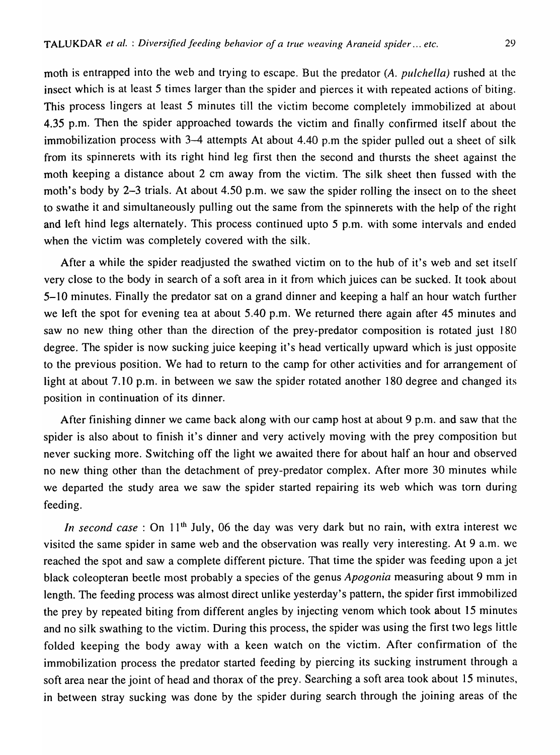insect which is at least 5 times larger than the spider and pierces it with repeated actions of biting. This process lingers at least 5 minutes till the victim become completely immobilized at about 4.35 p.m. Then the spider approached towards the victim and finally confirmed itself about the immobilization process with 3–4 attempts At about 4.40 p.m the spider pulled out a sheet of silk from its spinnerets with its right hind leg first then the second and thursts the sheet against the moth keeping a distance about 2 cm away from the victim. The silk sheet then fussed with the moth's body by 2-3 trials. At about 4.50 p.m. we saw the spider rolling the insect on to the sheet to swathe it and simultaneously pulling out the same from the spinnerets with the help of the right and left hind legs alternately. This process continued upto 5 p.m. with some intervals and ended when the victim was completely covered with the silk.

After a while the spider readjusted the swathed victim on to the hub of it's web and set itself very close to the body in search of a soft area in it from which juices can be sucked. It took about 5-10 minutes. Finally the predator sat on a grand dinner and keeping a half an hour watch further we left the spot for evening tea at about 5.40 p.m. We returned there again after 45 minutes and saw no new thing other than the direction of the prey-predator composition is rotated just 180 degree. The spider is now sucking juice keeping it's head vertically upward which is just opposite to the previous position. We had to return to the camp for other activities and for arrangement of light at about 7.10 p.m. in between we saw the spider rotated another 180 degree and changed its position in continuation of its dinner.

After finishing dinner we came back along with our camp host at about 9 p.m. and saw that the spider is also about to finish it's dinner and very actively moving with the prey composition but never sucking more. Switching off the light we awaited there for about half an hour and observed no new thing other than the detachment of prey-predator complex. After more 30 minutes while we departed the study area we saw the spider started repairing its web which was torn during feeding.

*In second case*: On 11<sup>th</sup> July, 06 the day was very dark but no rain, with extra interest we visited the same spider in same web and the observation was really very interesting. At 9 a.m. we reached the spot and saw a complete different picture. That time the spider was feeding upon a jet black coleopteran beetle most probably a species of the genus *Apogonia* measuring about 9 mm in length. The feeding process was almost direct unlike yesterday's pattern, the spider first immobilized the prey by repeated biting from different angles by injecting venom which took about 15 minutes and no silk swathing to the victim. During this process, the spider was using the first two legs little folded keeping the body away with a keen watch on the victim. After confirmation of the immobilization process the predator started feeding by piercing its sucking instrument through a soft area near the joint of head and thorax of the prey. Searching a soft area took about 15 minutes, in between stray sucking was done by the spider during search through the joining areas of the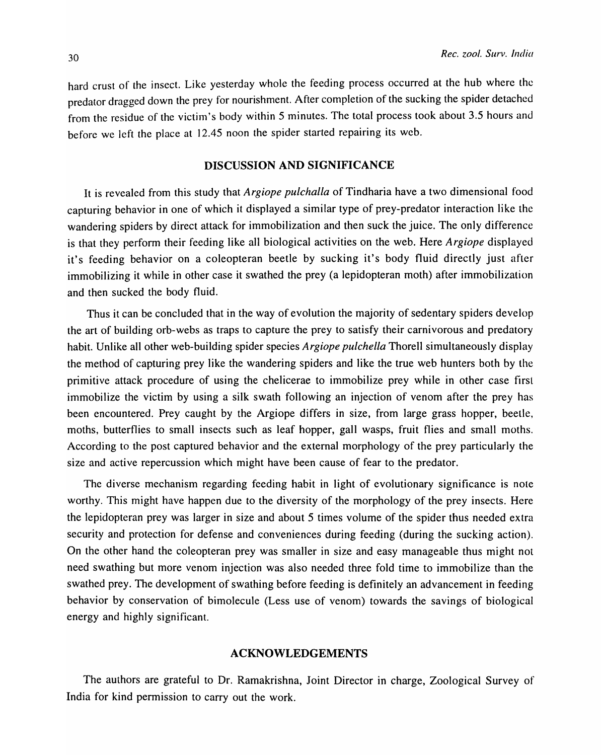hard crust of the insect. Like yesterday whole the feeding process occurred at the hub where the predator dragged down the prey for nourishment. After completion of the sucking the spider detached from the residue of the victim's body within 5 minutes. The total process took about 3.5 hours and before we left the place at 12.45 noon the spider started repairing its web.

## DISCUSSION AND SIGNIFICANCE

It is revealed from this study that *Argiope pulchalla* of Tindharia have a two dimensional food capturing behavior in one of which it displayed a similar type of prey-predator interaction like the wandering spiders by direct attack for immobilization and then suck the juice. The only difference is that they perform their feeding like all biological activities on the web. Here *Argiope* displayed it's feeding behavior on a coleopteran beetle by sucking it's body fluid directly just after immobilizing it while in other case it swathed the prey (a lepidopteran moth) after immobilization and then sucked the body fluid.

Thus it can be concluded that in the way of evolution the majority of sedentary spiders develop the art of building orb-webs as traps to capture the prey to satisfy their carnivorous and predatory habit. Unlike all other web-building spider species *Argiope pulchella* Thorell simultaneously display the method of capturing prey like the wandering spiders and like the true web hunters both by the primitive attack procedure of using the chelicerae to immobilize prey while in other case first immobilize the victim by using a silk swath following an injection of venom after the prey has been encountered. Prey caught by the Argiope differs in size, from large grass hopper, beetle, moths, butterflies to small insects such as leaf hopper, gall wasps, fruit flies and small moths. According to the post captured behavior and the external morphology of the prey particularly the size and active repercussion which might have been cause of fear to the predator.

The diverse mechanism regarding feeding habit in light of evolutionary significance is note worthy. This might have happen due to the diversity of the morphology of the prey insects. Here the lepidopteran prey was larger in size and about 5 times volume of the spider thus needed extra security and protection for defense and conveniences during feeding (during the sucking action). On the other hand the coleopteran prey was smaller in size and easy manageable thus might not need swathing but more venom injection was also needed three fold time to immobilize than the swathed prey. The development of swathing before feeding is definitely an advancement in feeding behavior by conservation of bimolecule (Less use of venom) towards the savings of biological energy and highly significant.

## ACKNOWLEDGEMENTS

The authors are grateful to Dr. Ramakrishna, Joint Director in charge, Zoological Survey of India for kind permission to carry out the work.